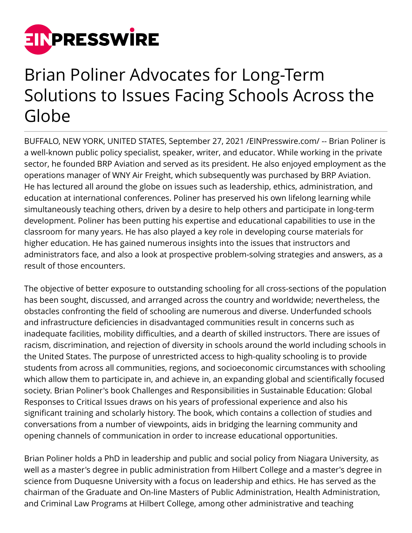

## Brian Poliner Advocates for Long-Term Solutions to Issues Facing Schools Across the Globe

BUFFALO, NEW YORK, UNITED STATES, September 27, 2021 /[EINPresswire.com/](http://www.einpresswire.com) -- Brian Poliner is a well-known public policy specialist, speaker, writer, and educator. While working in the private sector, he founded BRP Aviation and served as its president. He also enjoyed employment as the operations manager of WNY Air Freight, which subsequently was purchased by BRP Aviation. He has lectured all around the globe on issues such as leadership, ethics, administration, and education at international conferences. Poliner has preserved his own lifelong learning while simultaneously teaching others, driven by a desire to help others and participate in long-term development. Poliner has been putting his expertise and educational capabilities to use in the classroom for many years. He has also played a key role in developing course materials for higher education. He has gained numerous insights into the issues that instructors and administrators face, and also a look at prospective problem-solving strategies and answers, as a result of those encounters.

The objective of better exposure to outstanding schooling for all cross-sections of the population has been sought, discussed, and arranged across the country and worldwide; nevertheless, the obstacles confronting the field of schooling are numerous and diverse. Underfunded schools and infrastructure deficiencies in disadvantaged communities result in concerns such as inadequate facilities, mobility difficulties, and a dearth of skilled instructors. There are issues of racism, discrimination, and rejection of diversity in schools around the world including schools in the United States. The purpose of unrestricted access to high-quality schooling is to provide students from across all communities, regions, and socioeconomic circumstances with schooling which allow them to participate in, and achieve in, an expanding global and scientifically focused society. Brian Poliner's book Challenges and Responsibilities in Sustainable Education: Global Responses to Critical Issues draws on his years of professional experience and also his significant training and scholarly history. The book, which contains a collection of studies and conversations from a number of viewpoints, aids in bridging the learning community and opening channels of communication in order to increase educational opportunities.

Brian Poliner holds a PhD in leadership and public and social policy from Niagara University, as well as a master's degree in public administration from Hilbert College and a master's degree in science from Duquesne University with a focus on leadership and ethics. He has served as the chairman of the Graduate and On-line Masters of Public Administration, Health Administration, and Criminal Law Programs at Hilbert College, among other administrative and teaching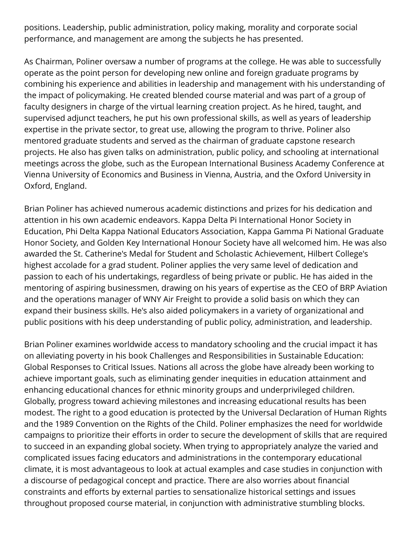positions. Leadership, public administration, policy making, morality and corporate social performance, and management are among the subjects he has presented.

As Chairman, Poliner oversaw a number of programs at the college. He was able to successfully operate as the point person for developing new online and foreign graduate programs by combining his experience and abilities in leadership and management with his understanding of the impact of policymaking. He created blended course material and was part of a group of faculty designers in charge of the virtual learning creation project. As he hired, taught, and supervised adjunct teachers, he put his own professional skills, as well as years of leadership expertise in the private sector, to great use, allowing the program to thrive. Poliner also mentored graduate students and served as the chairman of graduate capstone research projects. He also has given talks on administration, public policy, and schooling at international meetings across the globe, such as the European International Business Academy Conference at Vienna University of Economics and Business in Vienna, Austria, and the Oxford University in Oxford, England.

Brian Poliner has achieved numerous academic distinctions and prizes for his dedication and attention in his own academic endeavors. Kappa Delta Pi International Honor Society in Education, Phi Delta Kappa National Educators Association, Kappa Gamma Pi National Graduate Honor Society, and Golden Key International Honour Society have all welcomed him. He was also awarded the St. Catherine's Medal for Student and Scholastic Achievement, Hilbert College's highest accolade for a grad student. Poliner applies the very same level of dedication and passion to each of his undertakings, regardless of being private or public. He has aided in the mentoring of aspiring businessmen, drawing on his years of expertise as the CEO of BRP Aviation and the operations manager of WNY Air Freight to provide a solid basis on which they can expand their business skills. He's also aided policymakers in a variety of organizational and public positions with his deep understanding of public policy, administration, and leadership.

Brian Poliner examines worldwide access to mandatory schooling and the crucial impact it has on alleviating poverty in his book Challenges and Responsibilities in Sustainable Education: Global Responses to Critical Issues. Nations all across the globe have already been working to achieve important goals, such as eliminating gender inequities in education attainment and enhancing educational chances for ethnic minority groups and underprivileged children. Globally, progress toward achieving milestones and increasing educational results has been modest. The right to a good education is protected by the Universal Declaration of Human Rights and the 1989 Convention on the Rights of the Child. Poliner emphasizes the need for worldwide campaigns to prioritize their efforts in order to secure the development of skills that are required to succeed in an expanding global society. When trying to appropriately analyze the varied and complicated issues facing educators and administrations in the contemporary educational climate, it is most advantageous to look at actual examples and case studies in conjunction with a discourse of pedagogical concept and practice. There are also worries about financial constraints and efforts by external parties to sensationalize historical settings and issues throughout proposed course material, in conjunction with administrative stumbling blocks.